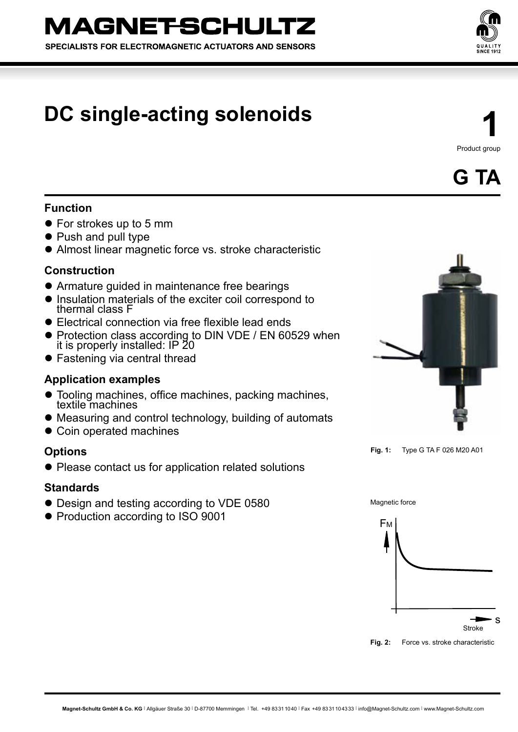SPECIALISTS FOR ELECTROMAGNETIC ACTUATORS AND SENSORS



# **DC single-acting solenoids**

**1** Product group

**G TA**

# **Function**

- For strokes up to 5 mm
- Push and pull type
- Almost linear magnetic force vs. stroke characteristic

# **Construction**

- Armature guided in maintenance free bearings
- $\bullet$  Insulation materials of the exciter coil correspond to thermal class F
- $\bullet$  Electrical connection via free flexible lead ends
- Protection class according to DIN VDE / EN 60529 when it is properly installed: IP 20
- **Fastening via central thread**

# **Application examples**

- Tooling machines, office machines, packing machines, textile machines
- Measuring and control technology, building of automats
- Coin operated machines

## **Options**

• Please contact us for application related solutions

## **Standards**

- Design and testing according to VDE 0580
- Production according to ISO 9001



**Fig. 1:** Type G TA F 026 M20 A01



**Fig. 2:** Force vs. stroke characteristic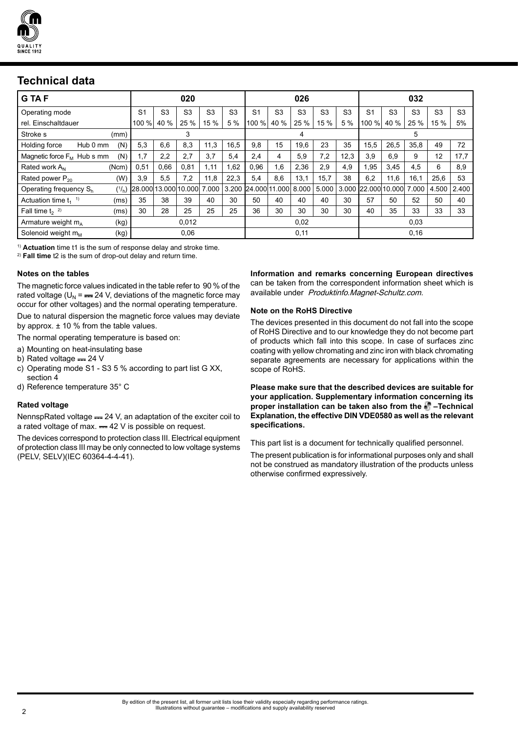

# **Technical data**

| <b>GTAF</b>                        |       |                |                | 020                    |                |                |                     |                | 026            |                |                |                     |                | 032            |                |                |
|------------------------------------|-------|----------------|----------------|------------------------|----------------|----------------|---------------------|----------------|----------------|----------------|----------------|---------------------|----------------|----------------|----------------|----------------|
| Operating mode                     |       | S <sub>1</sub> | S <sub>3</sub> | S <sub>3</sub>         | S <sub>3</sub> | S <sub>3</sub> | S <sub>1</sub>      | S <sub>3</sub> | S <sub>3</sub> | S <sub>3</sub> | S <sub>3</sub> | S <sub>1</sub>      | S <sub>3</sub> | S <sub>3</sub> | S <sub>3</sub> | S <sub>3</sub> |
| rel. Einschaltdauer                |       | 100 %          | 40 %           | 25 %                   | 15 %           | 5%             | 100 %               | 40 %           | 25 %           | 15 %           | 5 %            | 100 %               | 40 %           | 25 %           | 15 %           | 5%             |
| Stroke s                           | (mm)  |                |                | 3                      |                |                |                     |                | 4              |                |                |                     |                | 5              |                |                |
| Holding force<br>Hub 0 mm          | (N)   | 5,3            | 6,6            | 8,3                    | 11,3           | 16,5           | 9.8                 | 15             | 19,6           | 23             | 35             | 15.5                | 26,5           | 35,8           | 49             | 72             |
| Magnetic force $F_M$ Hub s mm      | (N)   | 1.7            | 2,2            | 2,7                    | 3,7            | 5,4            | 2,4                 | 4              | 5,9            | 7,2            | 12,3           | 3,9                 | 6,9            | 9              | 12             | 17,7           |
| Rated work A <sub>N</sub>          | (Ncm) | 0,51           | 0,66           | 0,81                   | 1,11           | 1,62           | 0,96                | 1.6            | 2,36           | 2,9            | 4,9            | 1,95                | 3,45           | 4,5            | 6              | 8,9            |
| Rated power $P_{20}$               | (W)   | 3.9            | 5,5            | 7,2                    | 11,8           | 22,3           | 5,4                 | 8.6            | 13,1           | 15,7           | 38             | 6,2                 | 11,6           | 16,1           | 25.6           | 53             |
| Operating frequency S <sub>h</sub> | (1/n) |                |                | I28.000l13.000l10.000l | 000            |                | 3.200 24.000 11.000 |                | 8.000          | 5.000          |                | 3.000 22.000 10.000 |                | 7.000          | 4.500          | 2.400          |
| Actuation time $t_1$ <sup>1)</sup> | (ms)  | 35             | 38             | 39                     | 40             | 30             | 50                  | 40             | 40             | 40             | 30             | 57                  | 50             | 52             | 50             | 40             |
| Fall time $t_2$ <sup>2)</sup>      | (ms)  | 30             | 28             | 25                     | 25             | 25             | 36                  | 30             | 30             | 30             | 30             | 40                  | 35             | 33             | 33             | 33             |
| Armature weight $m_A$              | (kg)  |                |                | 0.012                  |                |                |                     |                | 0,02           |                |                |                     |                | 0,03           |                |                |
| Solenoid weight m <sub>M</sub>     | (kg)  |                |                | 0,06                   |                |                |                     |                | 0,11           |                |                |                     |                | 0,16           |                |                |

1) **Actuation** time t1 is the sum of response delay and stroke time.

2) **Fall time** t2 is the sum of drop-out delay and return time.

#### **Notes on the tables**

The magnetic force values indicated in the table refer to 90 % of the rated voltage ( $U_N$  = = 24 V, deviations of the magnetic force may occur for other voltages) and the normal operating temperature.

Due to natural dispersion the magnetic force values may deviate by approx.  $\pm$  10 % from the table values.

The normal operating temperature is based on:

- a) Mounting on heat-insulating base
- b) Rated voltage  $= 24$  V
- c) Operating mode S1 S3 5 % according to part list G XX, section 4
- d) Reference temperature 35° C

#### **Rated voltage**

NennspRated voltage == 24 V, an adaptation of the exciter coil to a rated voltage of max.  $= 42$  V is possible on request.

The devices correspond to protection class III. Electrical equipment of protection class III may be only connected to low voltage systems (PELV, SELV)(IEC 60364-4-4-41).

**Information and remarks concerning European directives**  can be taken from the correspondent information sheet which is available under Produktinfo.Magnet-Schultz.com.

#### **Note on the RoHS Directive**

The devices presented in this document do not fall into the scope of RoHS Directive and to our knowledge they do not become part of products which fall into this scope. In case of surfaces zinc coating with yellow chromating and zinc iron with black chromating separate agreements are necessary for applications within the scope of RoHS.

**Please make sure that the described devices are suitable for your application. Supplementary information concerning its proper installation can be taken also from the –Technical Explanation, the effective DIN VDE0580 as well as the relevant specifications.**

This part list is a document for technically qualified personnel.

The present publication is for informational purposes only and shall not be construed as mandatory illustration of the products unless otherwise confirmed expressively.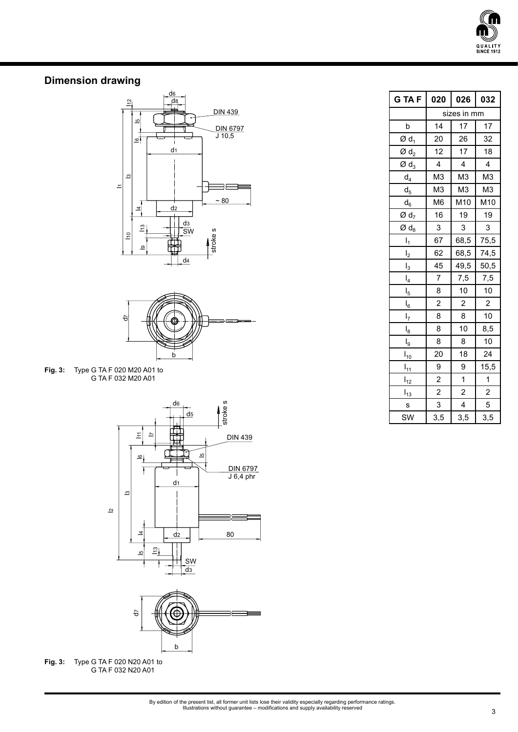

## **Dimension drawing**





**Fig. 3:** Type G TA F 020 M20 A01 to G TA F 032 M20 A01





**Fig. 3:** Type G TA F 020 N20 A01 to G TA F 032 N20 A01

| G TA F                       | 020                     | 026                     | 032                     |  |  |  |
|------------------------------|-------------------------|-------------------------|-------------------------|--|--|--|
|                              | sizes in mm             |                         |                         |  |  |  |
| þ                            | 14                      | 17                      | 17                      |  |  |  |
| Ød <sub>1</sub>              | 20                      | 26                      | 32                      |  |  |  |
| $\emptyset$ d <sub>2</sub>   | 12                      | 17                      | 18                      |  |  |  |
| $\varnothing$ d <sub>3</sub> | $\overline{\mathbf{4}}$ | 4                       | 4                       |  |  |  |
| $d_4$                        | M <sub>3</sub>          | M <sub>3</sub>          | M <sub>3</sub>          |  |  |  |
| $d_{5}$                      | M <sub>3</sub>          | M <sub>3</sub>          | M <sub>3</sub>          |  |  |  |
| $d_6$                        | M <sub>6</sub>          | M10                     | M10                     |  |  |  |
| Ød <sub>7</sub>              | 16                      | 19                      | 19                      |  |  |  |
| $\varnothing$ d <sub>8</sub> | 3                       | 3                       | 3                       |  |  |  |
| $I_1$                        | 67                      | 68,5                    | 75,5                    |  |  |  |
| I <sub>2</sub>               | 62                      | 68,5                    | 74,5                    |  |  |  |
| $I_3$                        | 45                      | 49,5                    | 50,5                    |  |  |  |
| $I_4$                        | $\overline{7}$          | 7,5                     | 7,5                     |  |  |  |
| I <sub>5</sub>               | 8                       | 10                      | $10$                    |  |  |  |
| $I_6$                        | $\overline{\mathbf{c}}$ | $\overline{\mathbf{c}}$ | $\boldsymbol{2}$        |  |  |  |
| $I_7$                        | 8                       | 8                       | 10                      |  |  |  |
| $I_8$                        | 8                       | 10                      | 8,5                     |  |  |  |
| $I_9$                        | 8                       | 8                       | 10                      |  |  |  |
| $I_{10}$                     | 20                      | 18                      | 24                      |  |  |  |
| $\frac{1}{11}$               | 9                       | 9                       | 15,5                    |  |  |  |
| $I_{12}$                     | $\overline{\mathbf{c}}$ | 1                       | 1                       |  |  |  |
| $\frac{1}{13}$               | $\overline{\mathbf{c}}$ | $\overline{\mathbf{c}}$ | $\overline{\mathbf{c}}$ |  |  |  |
| s                            | 3                       | 4                       | 5                       |  |  |  |
| SW                           | 3,5                     | 3,5                     | 3,5                     |  |  |  |

By edition of the present list, all former unit lists lose their validity especially regarding performance ratings. Illustrations without guarantee – modifications and supply availability reserved